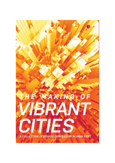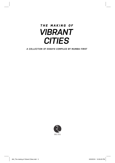# THE MAKING OF **VIBRANT CITIES**

A COLLECTION OF ESSAYS COMPILED BY MUMBAI FIRST

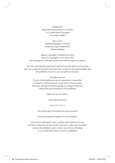Published by Rupa Publications India Pvt. Ltd 2016 7/16, Ansari Road, Daryaganj New Delhi 110002

Sales centres: Allahabad Bengaluru Chennai Hyderabad Jaipur Kathmandu Kolkata Mumbai

Edition Copyright © Mumbai First 2016 Foreword Copyright © N.K. Nayar 2016 The copyright for individual essays vests with the respective authors.

The views and opinions expressed in this book are the authors' own and the facts are as reported by them which have been verifed to the extent possible, and the publishers are not in any way liable for the same.

All rights reserved.

No part of this publication may be reproduced, transmitted, or stored in a retrieval system, in any form or by any means, electronic, mechanical, photocopying, recording or otherwise, without the prior permission of the publisher.

ISBN: 978-81-291-3964-1

First impression 2016

10 9 8 7 6 5 4 3 2 1

The moral right of the authors has been asserted.

Printed at Parksons Graphics Pvt. Ltd, Mumbai.

This book is sold subject to the condition that it shall not, by way of trade or otherwise, be lent, resold, hired out, or otherwise circulated, without the publisher's prior consent, in any form of binding or cover other than that in which it is published.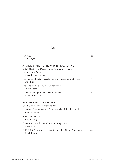## **Contents**

| Foreword                                                                                                         | ix |
|------------------------------------------------------------------------------------------------------------------|----|
| N.K. Nayar                                                                                                       |    |
| A: UNDERSTANDING THE URBAN RENAISSANCE                                                                           |    |
| India's Need for a Deeper Understanding of Diverse<br><b>Urbanization Patterns</b><br>Roopa Purushothaman        | 3  |
| The Impact of Urban Development on India and South Asia<br>Onno Ruhl                                             | 10 |
| The Role of PPPs in City Transformation<br>Shishir Joshi                                                         | 32 |
| Using Technology to Equalize the Society<br>K. Yatish Rajawat                                                    | 39 |
| <b>B: GOVERNING CITIES BETTER</b>                                                                                |    |
| Good Governance for Metropolitan Areas<br>Rudiger Ahrend, Soo-Jin-Kim, Alexander C. Lembcke and<br>Abel Schumann | 45 |
| <b>Bricks and Mortals</b><br>Gary Sharkey                                                                        | 52 |
| Citizenship in India and China: A Comparison<br>Xuefei Ren                                                       | 59 |
| A 10-Point Programme to Transform India's Urban Governance<br>Sunali Rohra                                       | 64 |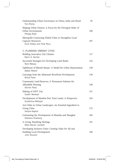| Understanding Urban Governance in China, India and Brazil<br>Yue Zhang                                             |     |  |  |  |
|--------------------------------------------------------------------------------------------------------------------|-----|--|--|--|
| Shaping Urban Futures: A Focus for the Divergent Roles of<br>Urban Governments<br>Philipp Rode                     |     |  |  |  |
| Metropolis Connecting Global Cities to Strengthen Local<br><b>Capacity Resources</b><br>Sunil Dubey and Felip Roca | 107 |  |  |  |
| C: PLANNING VIBRANT CITIES                                                                                         |     |  |  |  |
| Building Innovative City Clusters<br>Meric S. Gertler                                                              | 117 |  |  |  |
| Successful Strategies for Developing Land Banks<br>Ram Walase                                                      | 124 |  |  |  |
| Upliftment of Bhendi Bazaar: A Model for Urban Rejuvenation<br>Abbas Master                                        | 128 |  |  |  |
| Learnings from the Sabarmati Riverfront Development<br><b>Bimal Patel</b>                                          | 136 |  |  |  |
| Community Land Reserves: A Permanent Solution for<br>Affordable Housing<br>Shirish Patel                           | 146 |  |  |  |
| Making of GIFT City<br>Sudhir Mankad                                                                               | 151 |  |  |  |
| Development of Mumbai Port Trust Lands: A Perspective<br>Sulakshna Mahajan                                         | 165 |  |  |  |
| Arts Hubs in Urban Landscapes: An Essential Ingredient to<br>Living Cities<br>Sanjna Kapoor                        | 172 |  |  |  |
| Contrasting the Development of Mumbai and Shanghai<br>Shahana Chattaraj                                            | 184 |  |  |  |
| A Living, Breathing Heritage<br>Abha Narain Lambah                                                                 | 191 |  |  |  |
| Developing Inclusive Cities: Creating Value for All and<br><b>Enabling Local Development</b><br>John Rossant       | 196 |  |  |  |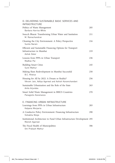| D: DELIVERING SUSTAINABLE BASIC SERVICES AND<br><b>INFRASTRUCTURE</b>                                |     |  |  |  |
|------------------------------------------------------------------------------------------------------|-----|--|--|--|
| Politics of Waste Management<br>Barbara Harriss-White                                                | 205 |  |  |  |
| Swacch Bharat: Transforming Urban Water and Sanitation<br>M. Ramachandran                            | 211 |  |  |  |
| Cleaning the City Environment: A Policy Perspective<br>Sunita Narain                                 |     |  |  |  |
| Efficient and Sustainable Financing Options for Transport<br>Infrastructure in Mumbai<br>Ashok Datar | 219 |  |  |  |
| Lessons from PPPs in Urban Transport<br>Madhay Pai                                                   | 236 |  |  |  |
| <b>Building Smart Cities</b><br>Sunil Mathur                                                         | 245 |  |  |  |
| Making Slum Redevelopment in Mumbai Successful<br>B.C. Khatua                                        | 250 |  |  |  |
| Housing for All by 2022: A Dream or Reality?<br>Vikram Jain, Aditya Agarwal and Ashish Karamchandani | 256 |  |  |  |
| Sustainable Urbanization and the Role of the State<br>Anita Arjundas                                 | 263 |  |  |  |
| Smart Solid Waste Management in BRICS Countries<br>Panagiotis Karamanos                              | 270 |  |  |  |
| E: FINANCING URBAN INFRASTRUCTURE                                                                    |     |  |  |  |
| Learnings from PPPs in Urban Infrastructure<br>Kalpana Morparia                                      | 283 |  |  |  |
| A Conducive Policy Environment: Financing Infrastructure<br>Vishakha Mulye                           | 290 |  |  |  |
| Institutional Architecture to Fund Urban Infrastructure Development 295<br>Manish Agarwal            |     |  |  |  |
| The Fiscal Health of Municipalities<br>Om Prakash Mathur                                             | 306 |  |  |  |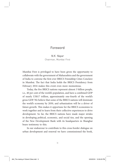### Foreword

*N.K. Nayar* Chairman, Mumbai First

Mumbai First is privileged to have been given the opportunity to collaborate with the government of Maharashtra and the government of India to convene the frst-ever BRICS Friendship Cities Conclave in Mumbai. The fact that India holds the BRICS Presidency from February 2016 makes this event even more momentous.

Today, the fve BRICS nations represent almost 3 billion people, i.e., 40 per cent of the world's population, and have a combined GDP of nearly US\$17 trillion, approximately one-fourth of the world's gross GDP. We believe that some of the BRICS nations will dominate the world's economy by 2050, and urbanization will be a driver of future growth. This makes it opportune for the BRICS economies to work together and to learn from their collective experiences to drive development. So far, the BRICS nations have made major strides in developing political, economic, and social ties, and the opening of the New Development Bank with its headquarters in Shanghai bears testimony to this.

In our endeavour to contribute to this cross-border dialogue on urban development and renewal we have commissioned the book,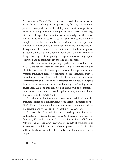The Making of Vibrant Cities. The book, a collection of ideas on urban themes straddling urban governance, fnance, land use and planning, transportation, sustainability and climate change, is an efort to bring together the thinking of various experts on meeting with the challenges of urbanization. We acknowledge that this book, the frst of its kind on so vast a subject as urbanization, is neither complete nor fully representative of the views of all the experts in the country. However, it is an important milestone to enriching the dialogue on urbanization, and to contribute to the broader global discussions on urban development, with contributions from over thirty urban experts from prestigious organizations, and a group of renowned and independent experts and practitioners.

Another key reason for putting together this collection is to create a substantive body of work that can be referenced by city administrators since it draws upon various city experiences, and presents innovative ideas for deliberation and execution. Such a collection, as we envision it, will help city administrators, elected representatives and concerned representatives on issues ranging from waste management to capacity building to reforming urban governance. We hope this collection of essays will be of immense value to various students across disciplines as they choose to build their careers in the urban feld.

Publishing this book would not have been possible without the unstinted eforts and contributions from various members of the BRICS Expert Committee that was constituted to curate and drive the development of the BRICS Friendship Cities Conclave.

In particular, I would like to acknowledge the invaluable contributions of Sunali Rohra, former Co-Leader of McKinsey & Company, Urban Practice in India and Shishir Joshi—CEO and Ashwini Takar—Manager Programs & Projects at Mumbai First for conceiving and driving this ambitious project. I would also like to thank Linda Viegas and Trilby Valladares for their administrative support.

x ← N.K. Nayar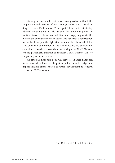Coming so far would not have been possible without the cooperation and patience of Ritu Vajpeyi Mohan and Meenakshi Singh, at Rupa Publications. We are grateful for their painstaking editorial contributions to help us take this ambitious project to fruition. Most of all, we are indebted and deeply appreciate the interest and efort taken by each author who has made a contribution to this book, despite the tight timelines and their busy schedules. This book is a culmination of their collective vision, passion and commitment to take forward the urban dialogue in BRICS Nations. We are particularly thankful to Indostar Capital Finance Ltd. for supporting us in this venture.

We sincerely hope this book will serve as an ideas handbook for various stakeholders, and help steer policy research, design, and implementation efforts related to urban development to renewal across the BRICS nations.

The Making of Vibrant Cities > xi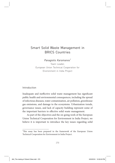## Smart Solid Waste Management in BRICS Countries

*Panagiotis Karamanos1*

Team Leader, European Union Technical Cooperation for Environment in India Project

Introduction

Inadequate and inefective solid waste management has signifcant public health and environmental consequences, including the spread of infectious diseases, water contamination, air pollution, greenhouse gas emissions, and damage to the ecosystems. Urbanization trends, governance issues, and lack of capacity building represent some of the important barriers to efective solid waste management.

As part of the objectives and the on-going work of the European Union Technical Cooperation for Environment in India Project, we believe it is important to introduce the key issues regarding solid

<sup>&</sup>lt;sup>1</sup>This essay has been prepared in the framework of the European Union Technical Cooperation for Environment in India Project.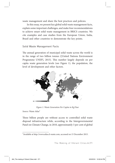waste management and share the best practices and policies.

In this essay, we present key global solid waste management facts, explain some important challenges, and make four recommendations to achieve smart solid waste management in BRICS countries. We cite examples and case studies from the European Union, India, Brazil and other countries to demonstrate the key points.

#### Solid Waste Management Facts

The annual generation of municipal solid waste across the world is in the range of two billion tonnes ([United Nations Environment Programme UNEP], 2015). This number largely depends on per capita waste generation levels (see Figure 1), the population, the level of development and other factors.



Figure 1: Waste Generation Per Capita in Kg/Year

Source: Waste Atlas<sup>2</sup>

Three billion people are without access to controlled solid waste disposal infrastructure while, according to the Intergovernmental Panel on Climate Change, in 2010, approximately 3 per cent of global

 $^{2}$ Available at http://www.atlas.d-waste.com, accessed on 15 December 2015.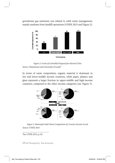greenhouse gas emissions was related to solid waste management, mainly methane from landfll operations (UNEP, 2015 and Figure 2).



Figure 2: Levels of Controlled Disposal for Selected Cities Source: Wasteaware and University of Leeds<sup>3</sup>

In terms of waste composition, organic material is dominant in low and lower-middle income countries, while paper, plastics and glass represent a larger fraction in upper-middle and high-income countries, compared to the other income categories (see Figure 3).



Figure 3: Municipal Solid Waste Composition by Country Income Levels Source: UNEP, 2015

<sup>3</sup>See UNEP, 2015, p. 65.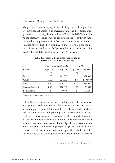#### Solid Waste Management Challenges

Many countries are facing signifcant challenges as their populations are growing, urbanization is increasing and the per capita waste generation too is rising. This is evident in Table 1 for BRICS countries. As the majority of solid waste is generated in cities, both per capita and total waste generation in urban areas are expected to increase signifcantly by 2025. For example, in the case of China, the per capita increase is at the rate of 67 per cent but, given the urbanization trends, the absolute increase is close to 170 per cent.

|                    | Current Available Data |         | 2025       |           |
|--------------------|------------------------|---------|------------|-----------|
| Country            | Kg/Capita/             | Kg/Day  | Kg/Capita/ | Kg/Day    |
|                    | Day                    |         | Day        |           |
| <b>Brazil</b>      | 1.03                   | 149.000 | 1.6        | 331.000   |
| China              | 1.02                   | 521.000 | 1.7        | 1.398.000 |
| India              | 0.34                   | 110.000 | 0.77       | 377.000   |
| Russian Federation | 0.93                   | 100.000 | 1.25       | 120.000   |
| South Africa       | $\mathfrak{D}$         | 53.000  |            | 72.000    |

#### **Table 1: Municipal Solid Waste Generation in Urban Areas of BRICS Countries**

Source: The World Bank, 2012

Often, the governance structure is not in line with solid waste management needs, and the problems are exacerbated by unclear or overlapping responsibilities, obsolete regulations and guidelines, lack of coordination and planning, and bureaucratic structures. Lack of technical capacity represents another important obstacle to the development of efective solutions. Furthermore, as human resources are sometimes scarce, knowledge sharing becomes even more important. The knowledge–capacity gap and the inadequate governance structure are sometimes partially flled by other stakeholders, such as non-governmental organizations. Moreover,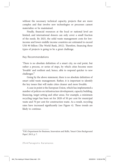without the necessary technical capacity, projects that are more complex and that involve new technologies or processes cannot materialize or be maintained.

Finally, fnancial resources at the local or national level are limited, and international donors can only cover a small fraction of the needs. By 2025, the solid waste management costs for lowincome and lower-middle income countries are estimated to exceed US\$ 90 billion (The World Bank, 2012). Therefore, financing these types of projects is going to be a great challenge.

#### Key Recommendations

'Τhere is no absolute defnition of a smart city, no end point, but rather a process, or series of steps, by which cities become more 'liveable' and resilient and, hence, able to respond quicker to new challenges.'<sup>4</sup>

Going by the above statement, there is no absolute defnition of smart solid waste management. Rather, it is important to identify the key issues that will make cities cleaner and more liveable.

A case in point is the European Union, which has implemented a number of policies on infrastructure development, capacity building, fnancing, target setting and other areas. For example, a minimum recycling target has been set for 2020 of 50 per cent for municipal waste and 70 per cent for construction waste. As a result, recycling rates have increased significantly (see Figure 4). These trends are likely to continue.

<sup>4</sup> UK's Department for Business, Innovation and Skills, 'Smart Cities Background Paper', 2013, p. 7.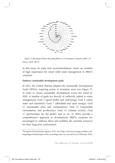

Figure 4: Municipal Waste Recycling Rates in 32 European Countries 2001–10 Source: EEA, 20135

In this essay, we make four recommendations, which we consider of high importance for smart solid waste management in BRICS countries.

#### **Embrace sustainable development goals**

In 2015, the United Nations adopted the Sustainable Development Goals (SDGs), requiring action in seventeen areas (see Figure 5), in order to ensure sustainable development across the world by 2030. A number of goals are directly or indirectly related to waste management: Goal 3 (good health and well-being); Goal 6 (clean water and sanitation); Goal 7 (affordable and clean energy); Goal 11 (sustainable cities and communities); Goal 12 (responsible consumption and production); Goal 13 (climate action); Goal 17 (partnerships for the goals), and so on. As SDGs provide a comprehensive approach to development, BRICS countries are encouraged to embrace them and mobilise the essential resources for their long-term achievement.

<sup>5</sup> European Environment Agency, 2013. See: http://www.eea.europa.eu/data-andmaps/fgures/municipal-waste-recycling-rates-in, accessed on 25 February 2016.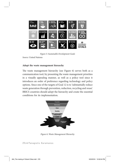

Figure 5: Sustainable Development Goals

Source: United Nations

#### **Adopt the waste management hierarchy**

The waste management hierarchy (see Figure 6) serves both as a communication tool, by presenting the waste management priorities in a visually appealing manner, as well as a policy tool since it introduces an order of preference regarding technology and policy options. Since one of the targets of Goal 12 is to 'substantially reduce waste generation through prevention, reduction, recycling and reuse'. BRICS countries should adopt the hierarchy and create the essential conditions for its implementation.



Figure 6: Waste Management Hierarchy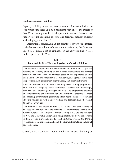#### **Emphasize capacity building**

Capacity building is an important element of smart solutions to solid waste challenges. It is also consistent with one of the targets of Goal 17, according to which it is important to 'enhance international support for implementing effective and targeted capacity building in developing countries …'

International donors have an important role to play. For example, as the largest single donor of development assistance, the European Union (EU) places a lot of emphasis on capacity building. A case study is presented in Table 2.

#### **Table 2: India and the EU—Working Together on Capacity Building**

The Technical Cooperation for Environment in India is an EU project focusing on capacity building on solid waste management and sewage treatment for New Delhi and Mumbai, based on the experience of both India and the EU. The beneficiaries are ministries, state agencies, municipal corporations, non-government organisations, and other institutions.

Key activities include an analysis of training needs, training programmes and technical support; study workshops, consultation workshops, seminars; and knowledge management tools. The programme provides an opportunity to enhance technical and institutional capacity, to create an enabling environment promoting clean technologies, to formulate efective policies, to further improve skills and technical know-how, and to increase awareness.

The duration of the project is from 2014-18 and it has been developed in close cooperation with the Ministry of Environment: Forests and Climate Change, the Ministry of Urban Development, and the Ministry of New and Renewable Energy. It is being implemented by a consortium of IVL Swedish Environmental Research Institute, Sweden; the Danish Technological Institute, Denmark; and the Shriram Institute for Industrial Research, India.

Overall, BRICS countries should emphasize capacity building on

The Making of Vibrant Cities > 277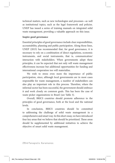technical matters, such as new technologies and processes—as well as institutional topics, such as the legal framework and policies. UNEP has issued a series of training manuals on integrated solid waste management, providing a valuable approach on this issue.

#### **Inspire good governance**

Essential principles of good governance include clear responsibilities, accountability, planning and public participation. Along those lines, UNEP (2015) has recommended that, for good governance, it is necessary to rely on a combination of direct regulations, economic instruments, and social instruments, that is, communication/ interaction with stakeholders. When governments adopt these principles, it can be expected that not only will waste management efectiveness increase but additional opportunities for funding and international cooperation too will materialize.

We wish to stress even more the importance of public participation, since, although local governments are in most cases responsible for waste management, a number of stakeholders can also play an important role in this process. Therefore, where the informal sector has been successful, the government should embrace it and work closely on common goals. This has been the case of waste picker organizations in Brazil (see Table 3).

Overall, BRICS countries should promote adherence to the principles of good governance, both at the local and the national levels.

In conclusion, BRICS countries should be committed to addressing the challenge of solid waste management in a comprehensive and smart way. In this short essay, we have introduced four key areas that we believe that should be prioritized. These areas should be supplemented by additional initiatives to achieve the objective of smart solid waste management.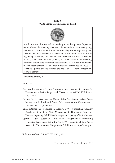**Table 3: Waste Picker Organizations in Brazil**



Source: Fergutz et al., 2011<sup>6</sup>

References

- European Environment Agency. 'Towards a Green Economy in Europe, EU Environmental Policy Targets and Objectives 2010–2050', EEA Report No. 8/2013.
- Fergutz, O., S. Dias, and D. Mitlin. 2011. 'Developing Urban Waste Management in Brazil with Waste Picker Associations', Environment & Urbanization 23(2): 597–608.
- Japan International Cooperation Agency. 2005. 'Supporting Capacity Development for Solid Waste Management in Developing Countries: Towards Improving Solid Waste Management Capacity of Entire Society'.
- Ogawa, H. 1996. 'Sustainable Solid Waste Management in Developing Countries', Paper presented at the 7th ISWA (International Solid Waste Association) International Congress and Exhibition, see http://www.gdrc.

6 Information obtained from UNEP, 2015, p. 179.

The Making of Vibrant Cities > 279